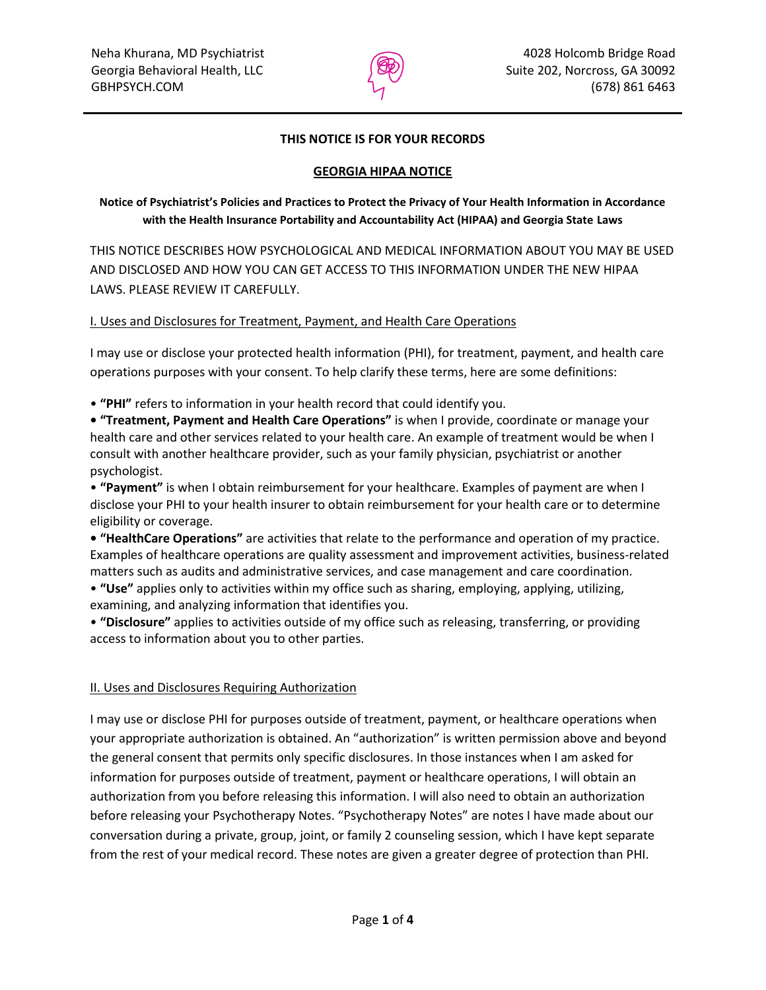

## **THIS NOTICE IS FOR YOUR RECORDS**

## **GEORGIA HIPAA NOTICE**

**Notice of Psychiatrist's Policies and Practices to Protect the Privacy of Your Health Information in Accordance with the Health Insurance Portability and Accountability Act (HIPAA) and Georgia State Laws**

THIS NOTICE DESCRIBES HOW PSYCHOLOGICAL AND MEDICAL INFORMATION ABOUT YOU MAY BE USED AND DISCLOSED AND HOW YOU CAN GET ACCESS TO THIS INFORMATION UNDER THE NEW HIPAA LAWS. PLEASE REVIEW IT CAREFULLY.

## I. Uses and Disclosures for Treatment, Payment, and Health Care Operations

I may use or disclose your protected health information (PHI), for treatment, payment, and health care operations purposes with your consent. To help clarify these terms, here are some definitions:

• **"PHI"** refers to information in your health record that could identify you.

**• "Treatment, Payment and Health Care Operations"** is when I provide, coordinate or manage your health care and other services related to your health care. An example of treatment would be when I consult with another healthcare provider, such as your family physician, psychiatrist or another psychologist.

• **"Payment"** is when I obtain reimbursement for your healthcare. Examples of payment are when I disclose your PHI to your health insurer to obtain reimbursement for your health care or to determine eligibility or coverage.

**• "HealthCare Operations"** are activities that relate to the performance and operation of my practice. Examples of healthcare operations are quality assessment and improvement activities, business-related matters such as audits and administrative services, and case management and care coordination.

• **"Use"** applies only to activities within my office such as sharing, employing, applying, utilizing, examining, and analyzing information that identifies you.

• **"Disclosure"** applies to activities outside of my office such as releasing, transferring, or providing access to information about you to other parties.

## II. Uses and Disclosures Requiring Authorization

I may use or disclose PHI for purposes outside of treatment, payment, or healthcare operations when your appropriate authorization is obtained. An "authorization" is written permission above and beyond the general consent that permits only specific disclosures. In those instances when I am asked for information for purposes outside of treatment, payment or healthcare operations, I will obtain an authorization from you before releasing this information. I will also need to obtain an authorization before releasing your Psychotherapy Notes. "Psychotherapy Notes" are notes I have made about our conversation during a private, group, joint, or family 2 counseling session, which I have kept separate from the rest of your medical record. These notes are given a greater degree of protection than PHI.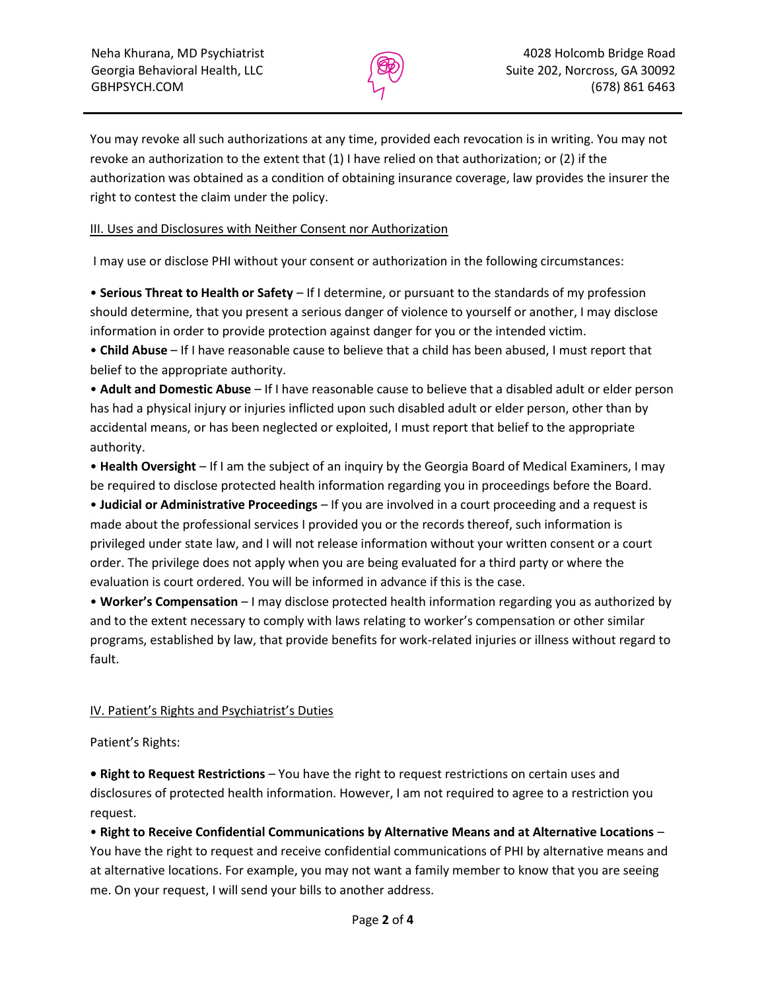

You may revoke all such authorizations at any time, provided each revocation is in writing. You may not revoke an authorization to the extent that (1) I have relied on that authorization; or (2) if the authorization was obtained as a condition of obtaining insurance coverage, law provides the insurer the right to contest the claim under the policy.

## III. Uses and Disclosures with Neither Consent nor Authorization

I may use or disclose PHI without your consent or authorization in the following circumstances:

• **Serious Threat to Health or Safety** – If I determine, or pursuant to the standards of my profession should determine, that you present a serious danger of violence to yourself or another, I may disclose information in order to provide protection against danger for you or the intended victim.

• **Child Abuse** – If I have reasonable cause to believe that a child has been abused, I must report that belief to the appropriate authority.

• **Adult and Domestic Abuse** – If I have reasonable cause to believe that a disabled adult or elder person has had a physical injury or injuries inflicted upon such disabled adult or elder person, other than by accidental means, or has been neglected or exploited, I must report that belief to the appropriate authority.

• **Health Oversight** – If I am the subject of an inquiry by the Georgia Board of Medical Examiners, I may be required to disclose protected health information regarding you in proceedings before the Board.

• **Judicial or Administrative Proceedings** – If you are involved in a court proceeding and a request is made about the professional services I provided you or the records thereof, such information is privileged under state law, and I will not release information without your written consent or a court order. The privilege does not apply when you are being evaluated for a third party or where the evaluation is court ordered. You will be informed in advance if this is the case.

• **Worker's Compensation** – I may disclose protected health information regarding you as authorized by and to the extent necessary to comply with laws relating to worker's compensation or other similar programs, established by law, that provide benefits for work-related injuries or illness without regard to fault.

# IV. Patient's Rights and Psychiatrist's Duties

Patient's Rights:

**• Right to Request Restrictions** – You have the right to request restrictions on certain uses and disclosures of protected health information. However, I am not required to agree to a restriction you request.

• **Right to Receive Confidential Communications by Alternative Means and at Alternative Locations** – You have the right to request and receive confidential communications of PHI by alternative means and at alternative locations. For example, you may not want a family member to know that you are seeing me. On your request, I will send your bills to another address.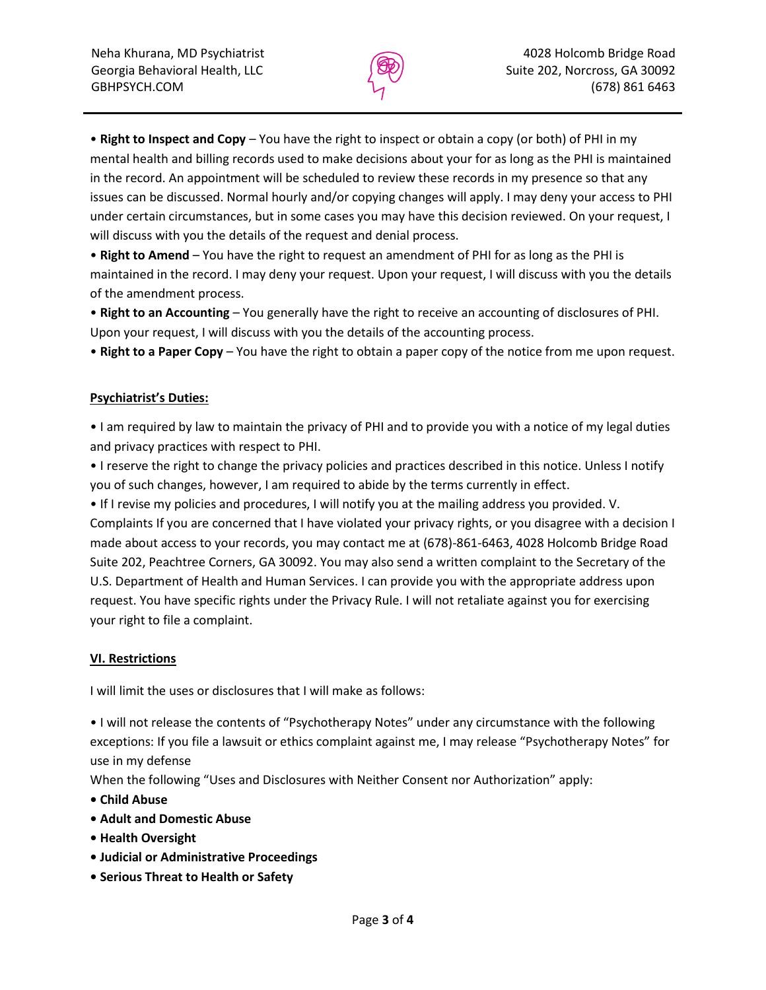

• **Right to Inspect and Copy** – You have the right to inspect or obtain a copy (or both) of PHI in my mental health and billing records used to make decisions about your for as long as the PHI is maintained in the record. An appointment will be scheduled to review these records in my presence so that any issues can be discussed. Normal hourly and/or copying changes will apply. I may deny your access to PHI under certain circumstances, but in some cases you may have this decision reviewed. On your request, I will discuss with you the details of the request and denial process.

• **Right to Amend** – You have the right to request an amendment of PHI for as long as the PHI is maintained in the record. I may deny your request. Upon your request, I will discuss with you the details of the amendment process.

• **Right to an Accounting** – You generally have the right to receive an accounting of disclosures of PHI. Upon your request, I will discuss with you the details of the accounting process.

• **Right to a Paper Copy** – You have the right to obtain a paper copy of the notice from me upon request.

#### **Psychiatrist's Duties:**

• I am required by law to maintain the privacy of PHI and to provide you with a notice of my legal duties and privacy practices with respect to PHI.

• I reserve the right to change the privacy policies and practices described in this notice. Unless I notify you of such changes, however, I am required to abide by the terms currently in effect.

• If I revise my policies and procedures, I will notify you at the mailing address you provided. V. Complaints If you are concerned that I have violated your privacy rights, or you disagree with a decision I made about access to your records, you may contact me at (678)-861-6463, 4028 Holcomb Bridge Road Suite 202, Peachtree Corners, GA 30092. You may also send a written complaint to the Secretary of the U.S. Department of Health and Human Services. I can provide you with the appropriate address upon request. You have specific rights under the Privacy Rule. I will not retaliate against you for exercising your right to file a complaint.

#### **VI. Restrictions**

I will limit the uses or disclosures that I will make as follows:

• I will not release the contents of "Psychotherapy Notes" under any circumstance with the following exceptions: If you file a lawsuit or ethics complaint against me, I may release "Psychotherapy Notes" for use in my defense

When the following "Uses and Disclosures with Neither Consent nor Authorization" apply:

- **Child Abuse**
- **Adult and Domestic Abuse**
- **Health Oversight**
- **Judicial or Administrative Proceedings**
- **Serious Threat to Health or Safety**